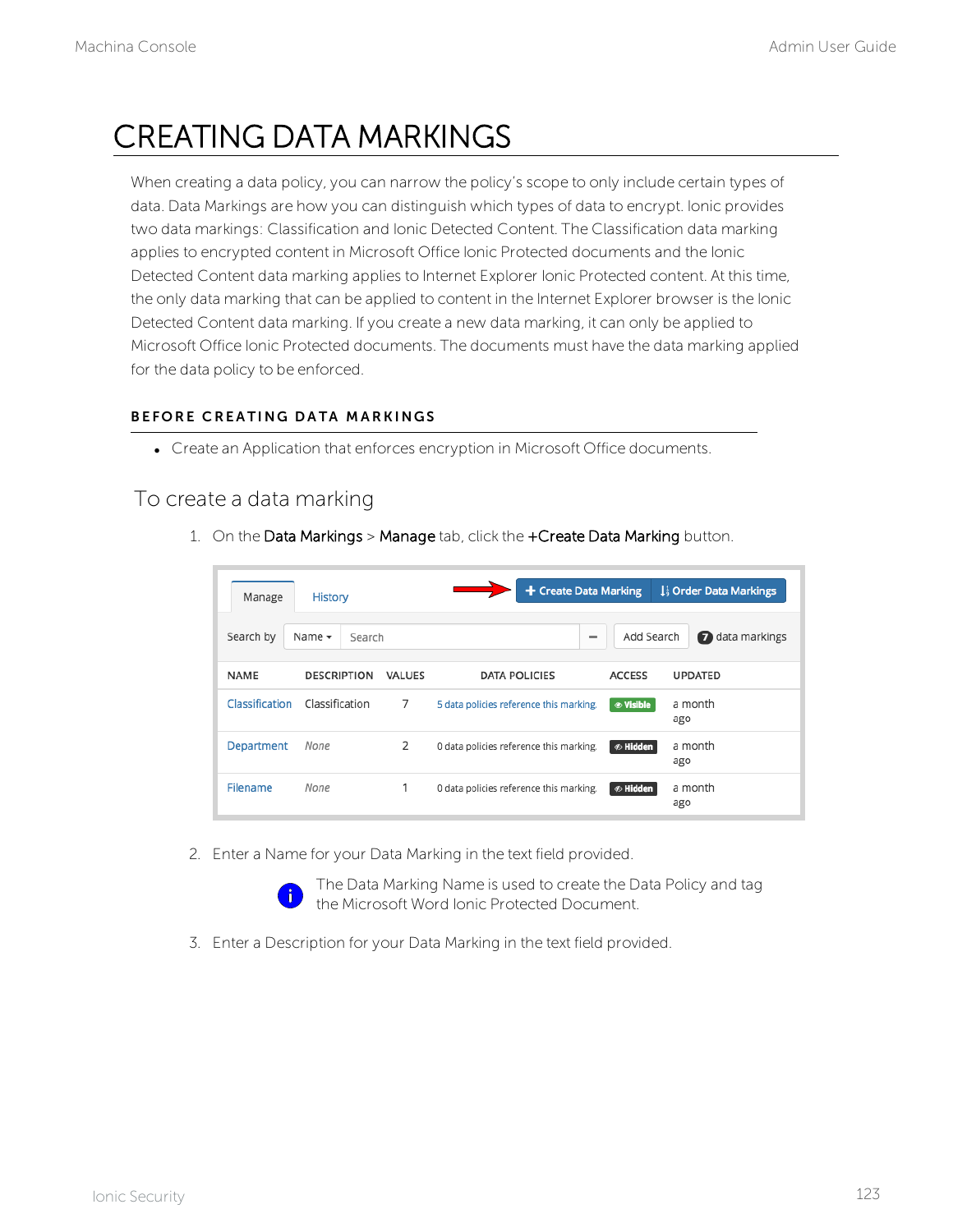# CREATING DATA MARKINGS

When creating a data policy, you can narrow the policy's scope to only include certain types of data. Data Markings are how you can distinguish which types of data to encrypt. Ionic provides two data markings: Classification and Ionic Detected Content. The Classification data marking applies to encrypted content in Microsoft Office Ionic Protected documents and the Ionic Detected Content data marking applies to Internet Explorer Ionic Protected content. At this time, the only data marking that can be applied to content in the Internet Explorer browser is the Ionic Detected Content data marking. If you create a new data marking, it can only be applied to Microsoft Office Ionic Protected documents. The documents must have the data marking applied for the data policy to be enforced.

#### B FFORE CREATING DATA MARKINGS

• Create an Application that enforces encryption in Microsoft Office documents.

### To create a data marking

1. On the Data Markings > Manage tab, click the +Create Data Marking button.

| Manage          | <b>History</b>        |               | + Create Data Marking                   |                       | 1 <sup>1</sup> Order Data Markings |
|-----------------|-----------------------|---------------|-----------------------------------------|-----------------------|------------------------------------|
| Search by       | Name $\sim$<br>Search |               | $\overline{\phantom{a}}$                | Add Search            | a data markings                    |
| <b>NAME</b>     | <b>DESCRIPTION</b>    | <b>VALUES</b> | <b>DATA POLICIES</b>                    | <b>ACCESS</b>         | <b>UPDATED</b>                     |
| Classification  | Classification        | 7             | 5 data policies reference this marking. |                       | a month<br>ago                     |
| Department      | None                  | 2             | 0 data policies reference this marking. | <b><i></i></b> Hidden | a month<br>ago                     |
| <b>Filename</b> | None                  | 1             | 0 data policies reference this marking. | <b>⊗ Hidden</b>       | a month<br>ago                     |

2. Enter a Name for your Data Marking in the text field provided.



The Data Marking Name is used to create the Data Policy and tag the Microsoft Word Ionic Protected Document.

3. Enter a Description for your Data Marking in the text field provided.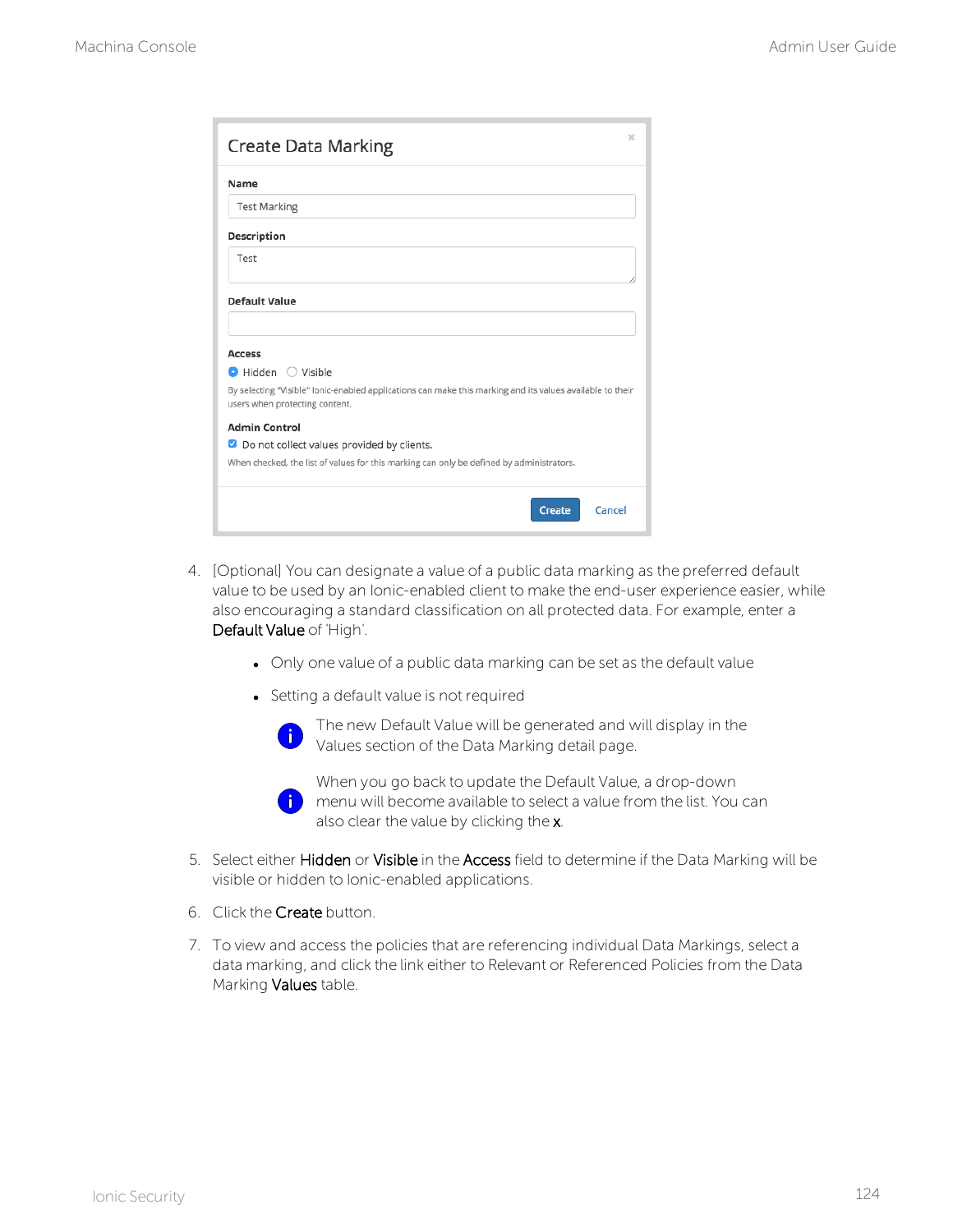| Create Data Marking                                                                                                                         | × |
|---------------------------------------------------------------------------------------------------------------------------------------------|---|
| Name                                                                                                                                        |   |
| <b>Test Marking</b>                                                                                                                         |   |
| Description                                                                                                                                 |   |
| Test                                                                                                                                        |   |
| <b>Default Value</b>                                                                                                                        |   |
|                                                                                                                                             |   |
| <b>Access</b>                                                                                                                               |   |
| $\bullet$ Hidden $\circ$ Visible                                                                                                            |   |
| By selecting "Visible" lonic-enabled applications can make this marking and its values available to their<br>users when protecting content. |   |
| <b>Admin Control</b>                                                                                                                        |   |
| Do not collect values provided by clients.<br>$\blacktriangledown$                                                                          |   |
| When checked, the list of values for this marking can only be defined by administrators.                                                    |   |
| Cancel<br>Create                                                                                                                            |   |

- 4. [Optional] You can designate a value of a public data marking as the preferred default value to be used by an Ionic-enabled client to make the end-user experience easier, while also encouraging a standard classification on all protected data. For example, enter a Default Value of 'High'.
	- Only one value of a public data marking can be set as the default value
	- Setting a default value is not required



When you go back to update the Default Value, a drop-down  $\left| i \right|$  menu will become available to select a value from the list. You can also clear the value by clicking the x.

- 5. Select either Hidden or Visible in the Access field to determine if the Data Marking will be visible or hidden to Ionic-enabled applications.
- 6. Click the Create button.
- 7. To view and access the policies that are referencing individual Data Markings, select a data marking, and click the link either to Relevant or Referenced Policies from the Data Marking Values table.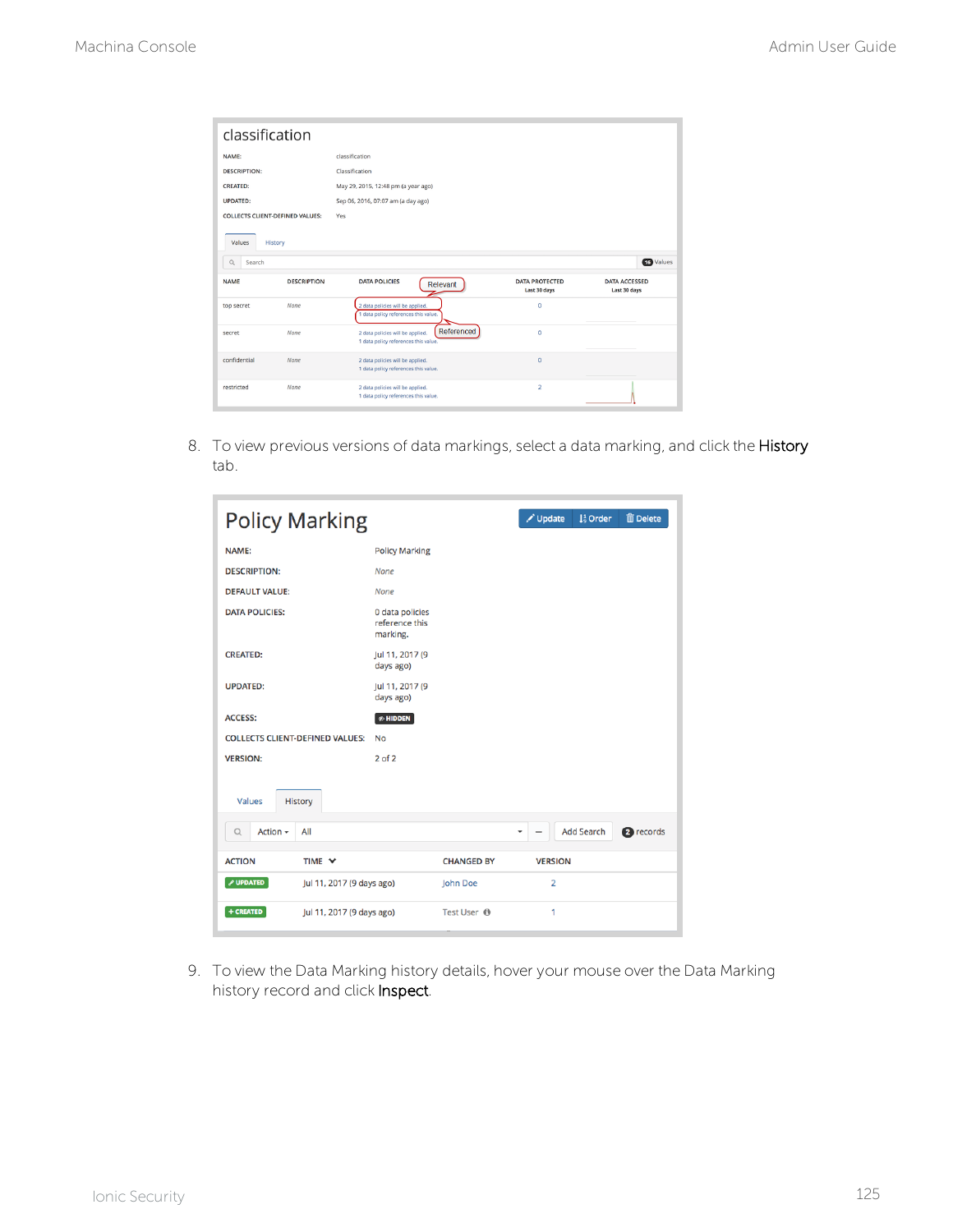| classification                         |                    |                                                                                        |                                       |                                      |  |  |  |  |
|----------------------------------------|--------------------|----------------------------------------------------------------------------------------|---------------------------------------|--------------------------------------|--|--|--|--|
| classification<br>NAME:                |                    |                                                                                        |                                       |                                      |  |  |  |  |
| <b>DESCRIPTION:</b>                    |                    | Classification                                                                         |                                       |                                      |  |  |  |  |
| <b>CREATED:</b>                        |                    | May 29, 2015, 12:48 pm (a year ago)                                                    |                                       |                                      |  |  |  |  |
| <b>UPDATED:</b>                        |                    | Sep 06, 2016, 07:07 am (a day ago)                                                     |                                       |                                      |  |  |  |  |
| <b>COLLECTS CLIENT-DEFINED VALUES:</b> |                    | Yes                                                                                    |                                       |                                      |  |  |  |  |
| Values<br>History                      |                    |                                                                                        |                                       |                                      |  |  |  |  |
| $\alpha$<br>Search                     |                    |                                                                                        |                                       | <b>16</b> Values                     |  |  |  |  |
| <b>NAME</b>                            | <b>DESCRIPTION</b> | <b>DATA POLICIES</b><br>Relevant                                                       | <b>DATA PROTECTED</b><br>Last 30 days | <b>DATA ACCESSED</b><br>Last 30 days |  |  |  |  |
| top secret                             | None               | 2 data policies will be applied.<br>1 data policy references this value.               | $\mathbf 0$                           |                                      |  |  |  |  |
| secret                                 | None               | Referenced<br>2 data policies will be applied.<br>1 data policy references this value. | $\mathbf 0$                           |                                      |  |  |  |  |
| confidential                           | None               | 2 data policies will be applied.<br>1 data policy references this value.               | $\mathbf{0}$                          |                                      |  |  |  |  |
| restricted                             | None               | 2 data policies will be applied.<br>1 data policy references this value.               | $\overline{2}$                        |                                      |  |  |  |  |

8. To view previous versions of data markings, select a data marking, and click the History tab.

| <b>Policy Marking</b>                                |                                               |                   | Update<br><b>m</b> Delete<br>1 <sup>1</sup> Order                          |  |  |  |
|------------------------------------------------------|-----------------------------------------------|-------------------|----------------------------------------------------------------------------|--|--|--|
| NAME:                                                | <b>Policy Marking</b>                         |                   |                                                                            |  |  |  |
| <b>DESCRIPTION:</b>                                  | <b>None</b>                                   |                   |                                                                            |  |  |  |
| <b>DEFAULT VALUE:</b>                                | <b>None</b>                                   |                   |                                                                            |  |  |  |
| <b>DATA POLICIES:</b>                                | 0 data policies<br>reference this<br>marking. |                   |                                                                            |  |  |  |
| <b>CREATED:</b>                                      | Jul 11, 2017 (9<br>days ago)                  |                   |                                                                            |  |  |  |
| <b>UPDATED:</b>                                      | Jul 11, 2017 (9<br>days ago)                  |                   |                                                                            |  |  |  |
| <b>ACCESS:</b>                                       | $\mathcal D$ HIDDEN                           |                   |                                                                            |  |  |  |
| <b>COLLECTS CLIENT-DEFINED VALUES:</b>               | <b>No</b>                                     |                   |                                                                            |  |  |  |
| <b>VERSION:</b>                                      | $2$ of $2$                                    |                   |                                                                            |  |  |  |
| Values<br>History                                    |                                               |                   |                                                                            |  |  |  |
| All<br>Action $\sim$<br>Q                            |                                               |                   | <b>Add Search</b><br><sup>2</sup> records<br>٠<br>$\overline{\phantom{a}}$ |  |  |  |
| <b>ACTION</b><br>TIME Y                              |                                               | <b>CHANGED BY</b> | <b>VERSION</b>                                                             |  |  |  |
| <b><i>S</i></b> UPDATED<br>Jul 11, 2017 (9 days ago) |                                               | John Doe          | $\overline{2}$                                                             |  |  |  |
| + CREATED<br>Jul 11, 2017 (9 days ago)               |                                               | Test User ®       | 1                                                                          |  |  |  |

9. To view the Data Marking history details, hover your mouse over the Data Marking history record and click **Inspect**.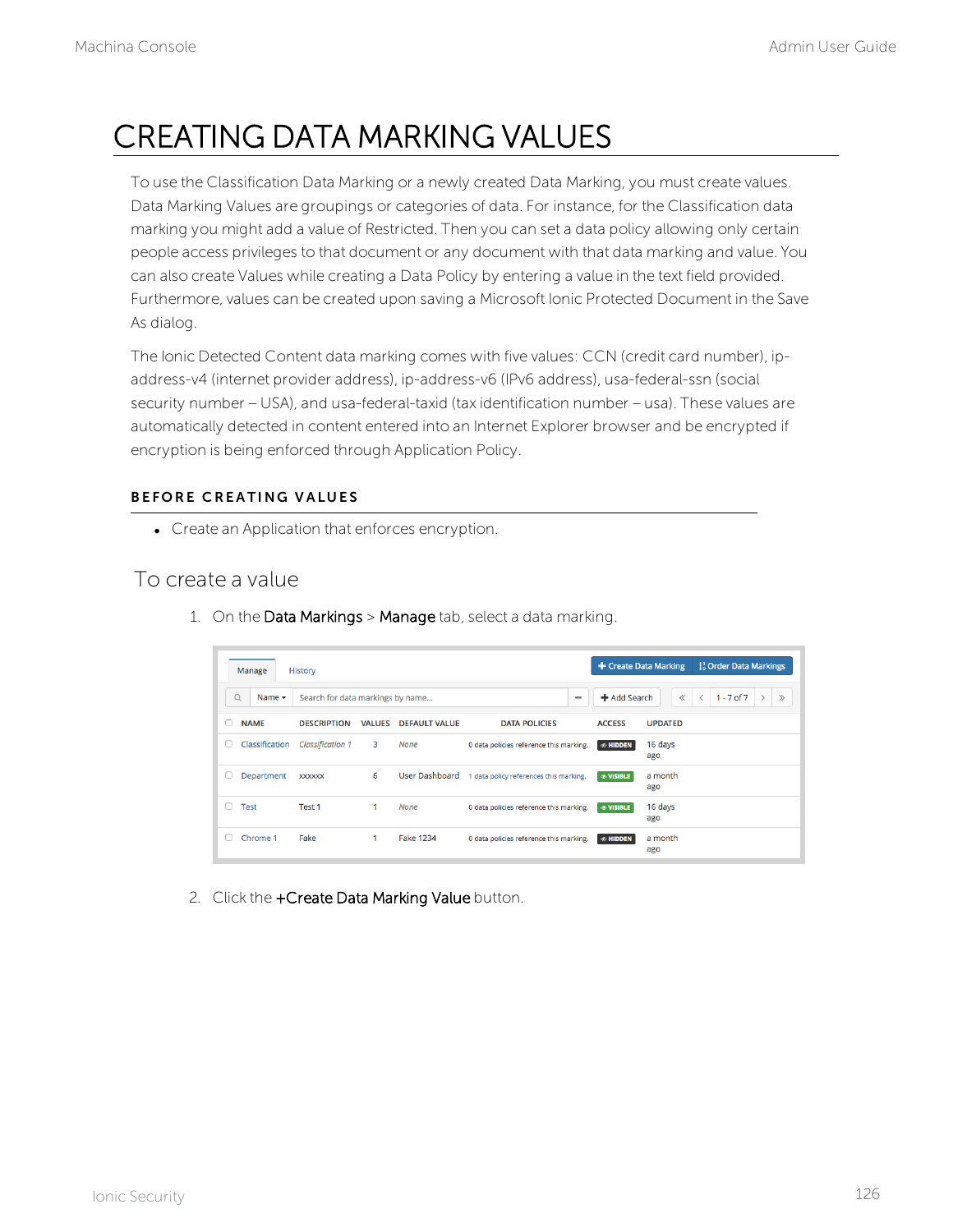## CREATING DATA MARKING VALUES

To use the Classification Data Marking or a newly created Data Marking, you must create values. Data Marking Values are groupings or categories of data. For instance, for the Classification data marking you might add a value of Restricted. Then you can set a data policy allowing only certain people access privileges to that document or any document with that data marking and value. You can also create Values while creating a Data Policy by entering a value in the text field provided. Furthermore, values can be created upon saving a Microsoft Ionic Protected Document in the Save As dialog.

The Ionic Detected Content data marking comes with five values: CCN (credit card number), ipaddress-v4 (internet provider address), ip-address-v6 (IPv6 address), usa-federal-ssn (social security number – USA), and usa-federal-taxid (tax identification number – usa). These values are automatically detected in content entered into an Internet Explorer browser and be encrypted if encryption is being enforced through Application Policy.

#### BEFORE CREATING VALUES

• Create an Application that enforces encryption.

### To create a value

- + Create Data Marking  $\frac{1}{3}$  Order Data Markings History Manage Q Name v Search for data markings by name...  $\overline{\phantom{a}}$ + Add Search  $\ll$  < 1 - 7 of 7 > > DESCRIPTION VALUES DEFAULT VALUE NAME **DATA POLICIES ACCESS UPDATED** Classification Classification 1  $\overline{\mathbf{3}}$ **None** 0 data policies reference this marking.  $\bullet$  HIDDEN 16 days Department xxxxxx 6 User Dashboard 1 data policy references this marking.  $\circ$  VISIBLE a month ago  $\Box$  Test  $1<sup>1</sup>$ None Test 1 16 days 0 data policies reference this marking. **OV** ago  $\Box$  Chrome 1 Eake **Fake 1234** a month  $1<sup>1</sup>$ 0 data policies reference this marking.  $\boxed{\phi$  HID ago
- 1. On the Data Markings > Manage tab, select a data marking.

2. Click the +Create Data Marking Value button.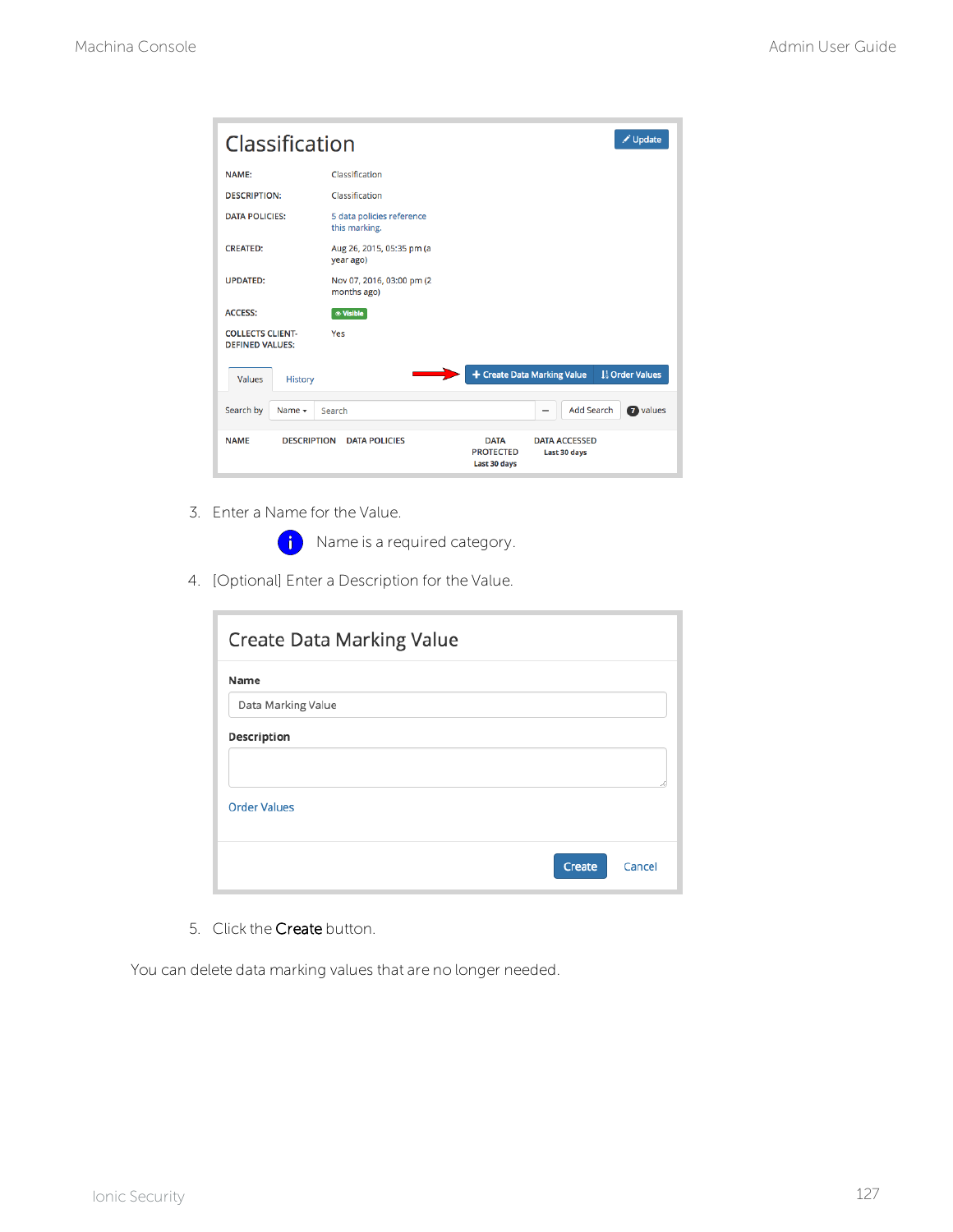| ✔ Update<br>Classification                        |                                            |                                                 |                                                                           |  |  |  |
|---------------------------------------------------|--------------------------------------------|-------------------------------------------------|---------------------------------------------------------------------------|--|--|--|
| <b>NAME:</b>                                      | Classification                             |                                                 |                                                                           |  |  |  |
| <b>DESCRIPTION:</b>                               | Classification                             |                                                 |                                                                           |  |  |  |
| <b>DATA POLICIES:</b>                             | 5 data policies reference<br>this marking. |                                                 |                                                                           |  |  |  |
| <b>CREATED:</b>                                   | Aug 26, 2015, 05:35 pm (a<br>year ago)     |                                                 |                                                                           |  |  |  |
| <b>UPDATED:</b>                                   | Nov 07, 2016, 03:00 pm (2<br>months ago)   |                                                 |                                                                           |  |  |  |
| <b>ACCESS:</b>                                    | <b>&amp; Visible</b>                       |                                                 |                                                                           |  |  |  |
| <b>COLLECTS CLIENT-</b><br><b>DEFINED VALUES:</b> | Yes                                        |                                                 |                                                                           |  |  |  |
| <b>Values</b><br><b>History</b>                   |                                            |                                                 | + Create Data Marking Value<br>1 <sup>1</sup> / <sub>9</sub> Order Values |  |  |  |
| Search by<br>Name $\sim$                          | Search                                     |                                                 | <b>Add Search</b><br>a values<br>-                                        |  |  |  |
| <b>DESCRIPTION</b><br><b>NAME</b>                 | <b>DATA POLICIES</b>                       | <b>DATA</b><br><b>PROTECTED</b><br>Last 30 days | <b>DATA ACCESSED</b><br>Last 30 days                                      |  |  |  |

3. Enter a Name for the Value.

**i** Name is a required category.

4. [Optional] Enter a Description for the Value.

| Create Data Marking Value  |        |        |
|----------------------------|--------|--------|
| Name<br>Data Marking Value |        |        |
| Description                |        |        |
| <b>Order Values</b>        |        |        |
|                            | Create | Cancel |

5. Click the Create button.

You can delete data marking values that are no longer needed.